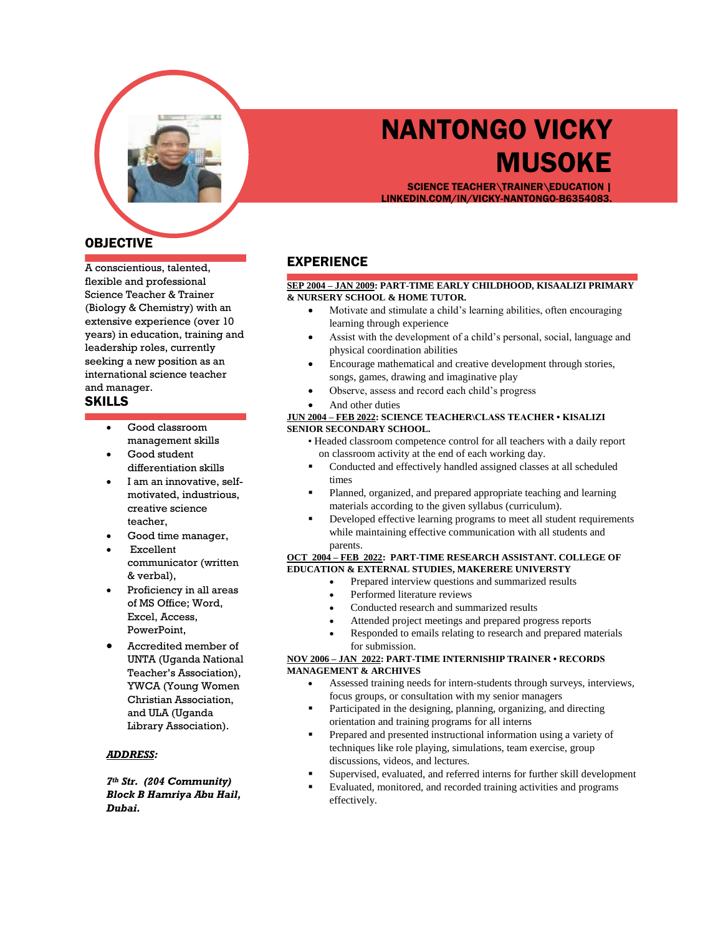

# NANTONGO VICKY **MUSOKE**

SCIENCE TEACHER\TRAINER\EDUCATION | LINKEDIN.COM/IN/VICKY-NANTONGO-B6354083.

# OBJECTIVE

A conscientious, talented, flexible and professional Science Teacher & Trainer (Biology & Chemistry) with an extensive experience (over 10 years) in education, training and leadership roles, currently seeking a new position as an international science teacher and manager.

## SKILLS

- Good classroom management skills
- Good student differentiation skills
- I am an innovative, selfmotivated, industrious, creative science teacher,
- Good time manager,
- Excellent communicator (written & verbal),
- Proficiency in all areas of MS Office; Word, Excel, Access, PowerPoint,
- Accredited member of UNTA (Uganda National Teacher's Association), YWCA (Young Women Christian Association, and ULA (Uganda Library Association).

#### *ADDRESS:*

*7th Str. (204 Community) Block B Hamriya Abu Hail, Dubai.*

## EXPERIENCE

#### **SEP 2004 – JAN 2009: PART-TIME EARLY CHILDHOOD, KISAALIZI PRIMARY & NURSERY SCHOOL & HOME TUTOR.**

- Motivate and stimulate a child's learning abilities, often encouraging learning through experience
- Assist with the development of a child's personal, social, language and physical coordination abilities
- Encourage mathematical and creative development through stories, songs, games, drawing and imaginative play
- Observe, assess and record each child's progress
- And other duties

#### **JUN 2004 – FEB 2022: SCIENCE TEACHER\CLASS TEACHER • KISALIZI SENIOR SECONDARY SCHOOL.**

- Headed classroom competence control for all teachers with a daily report on classroom activity at the end of each working day.
- Conducted and effectively handled assigned classes at all scheduled times
- Planned, organized, and prepared appropriate teaching and learning materials according to the given syllabus (curriculum).
- Developed effective learning programs to meet all student requirements while maintaining effective communication with all students and parents.

#### **OCT 2004 – FEB 2022: PART-TIME RESEARCH ASSISTANT. COLLEGE OF EDUCATION & EXTERNAL STUDIES, MAKERERE UNIVERSTY**

- Prepared interview questions and summarized results
- Performed literature reviews
- Conducted research and summarized results
- Attended project meetings and prepared progress reports
- Responded to emails relating to research and prepared materials for submission.

#### **NOV 2006 – JAN 2022: PART-TIME INTERNISHIP TRAINER • RECORDS MANAGEMENT & ARCHIVES**

- Assessed training needs for intern-students through surveys, interviews, focus groups, or consultation with my senior managers
- Participated in the designing, planning, organizing, and directing orientation and training programs for all interns
- Prepared and presented instructional information using a variety of techniques like role playing, simulations, team exercise, group discussions, videos, and lectures.
- Supervised, evaluated, and referred interns for further skill development
- Evaluated, monitored, and recorded training activities and programs effectively.